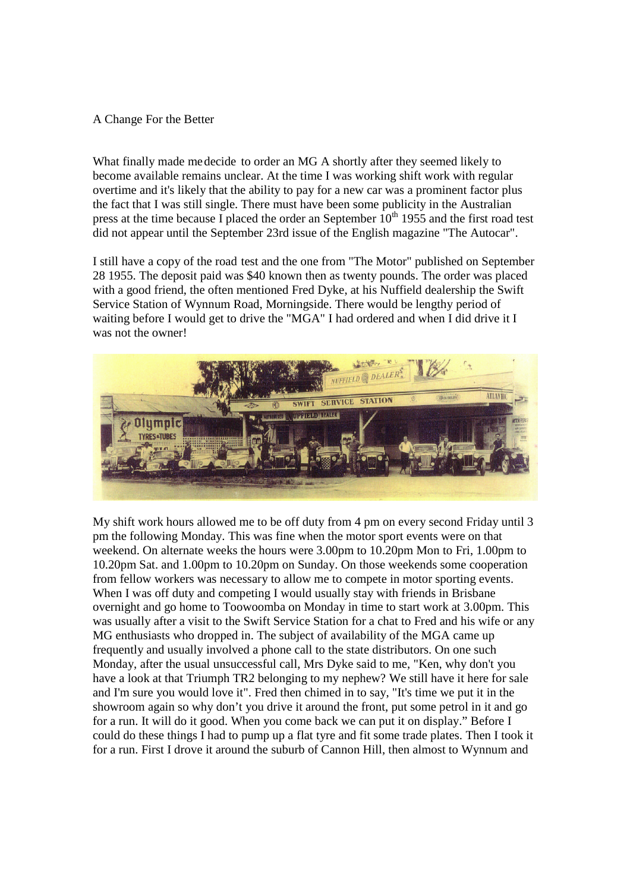## A Change For the Better

What finally made medecide to order an MG A shortly after they seemed likely to become available remains unclear. At the time I was working shift work with regular overtime and it's likely that the ability to pay for a new car was a prominent factor plus the fact that I was still single. There must have been some publicity in the Australian press at the time because I placed the order an September  $10<sup>th</sup>$  1955 and the first road test did not appear until the September 23rd issue of the English magazine "The Autocar".

I still have a copy of the road test and the one from "The Motor" published on September 28 1955. The deposit paid was \$40 known then as twenty pounds. The order was placed with a good friend, the often mentioned Fred Dyke, at his Nuffield dealership the Swift Service Station of Wynnum Road, Morningside. There would be lengthy period of waiting before I would get to drive the "MGA" I had ordered and when I did drive it I was not the owner!



My shift work hours allowed me to be off duty from 4 pm on every second Friday until 3 pm the following Monday. This was fine when the motor sport events were on that weekend. On alternate weeks the hours were 3.00pm to 10.20pm Mon to Fri, 1.00pm to 10.20pm Sat. and 1.00pm to 10.20pm on Sunday. On those weekends some cooperation from fellow workers was necessary to allow me to compete in motor sporting events. When I was off duty and competing I would usually stay with friends in Brisbane overnight and go home to Toowoomba on Monday in time to start work at 3.00pm. This was usually after a visit to the Swift Service Station for a chat to Fred and his wife or any MG enthusiasts who dropped in. The subject of availability of the MGA came up frequently and usually involved a phone call to the state distributors. On one such Monday, after the usual unsuccessful call, Mrs Dyke said to me, "Ken, why don't you have a look at that Triumph TR2 belonging to my nephew? We still have it here for sale and I'm sure you would love it". Fred then chimed in to say, "It's time we put it in the showroom again so why don't you drive it around the front, put some petrol in it and go for a run. It will do it good. When you come back we can put it on display." Before I could do these things I had to pump up a flat tyre and fit some trade plates. Then I took it for a run. First I drove it around the suburb of Cannon Hill, then almost to Wynnum and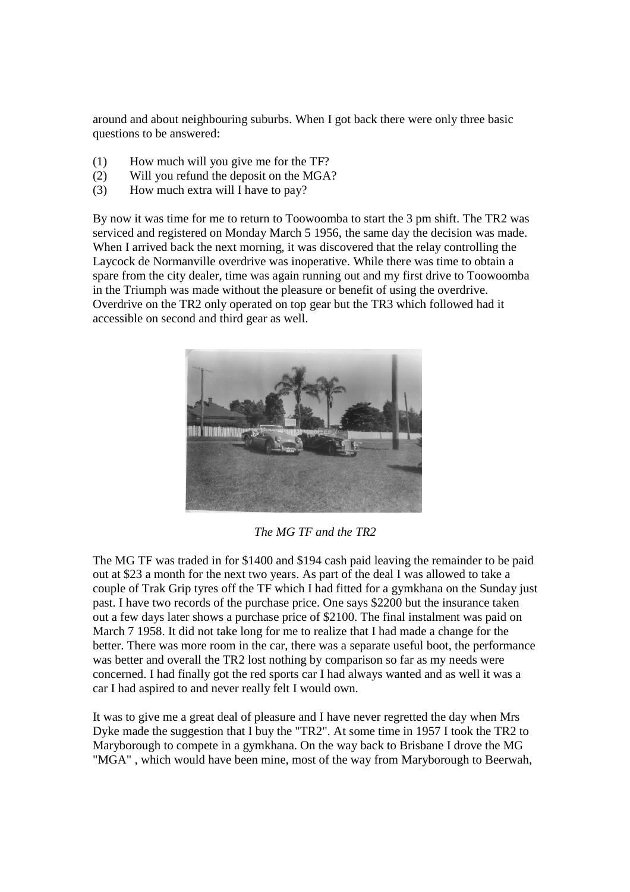around and about neighbouring suburbs. When I got back there were only three basic questions to be answered:

- (1) How much will you give me for the TF?
- (2) Will you refund the deposit on the MGA?
- (3) How much extra will I have to pay?

By now it was time for me to return to Toowoomba to start the 3 pm shift. The TR2 was serviced and registered on Monday March 5 1956, the same day the decision was made. When I arrived back the next morning, it was discovered that the relay controlling the Laycock de Normanville overdrive was inoperative. While there was time to obtain a spare from the city dealer, time was again running out and my first drive to Toowoomba in the Triumph was made without the pleasure or benefit of using the overdrive. Overdrive on the TR2 only operated on top gear but the TR3 which followed had it accessible on second and third gear as well.



*The MG TF and the TR2*

The MG TF was traded in for \$1400 and \$194 cash paid leaving the remainder to be paid out at \$23 a month for the next two years. As part of the deal I was allowed to take a couple of Trak Grip tyres off the TF which I had fitted for a gymkhana on the Sunday just past. I have two records of the purchase price. One says \$2200 but the insurance taken out a few days later shows a purchase price of \$2100. The final instalment was paid on March 7 1958. It did not take long for me to realize that I had made a change for the better. There was more room in the car, there was a separate useful boot, the performance was better and overall the TR2 lost nothing by comparison so far as my needs were concerned. I had finally got the red sports car I had always wanted and as well it was a car I had aspired to and never really felt I would own.

It was to give me a great deal of pleasure and I have never regretted the day when Mrs Dyke made the suggestion that I buy the "TR2". At some time in 1957 I took the TR2 to Maryborough to compete in a gymkhana. On the way back to Brisbane I drove the MG "MGA" , which would have been mine, most of the way from Maryborough to Beerwah,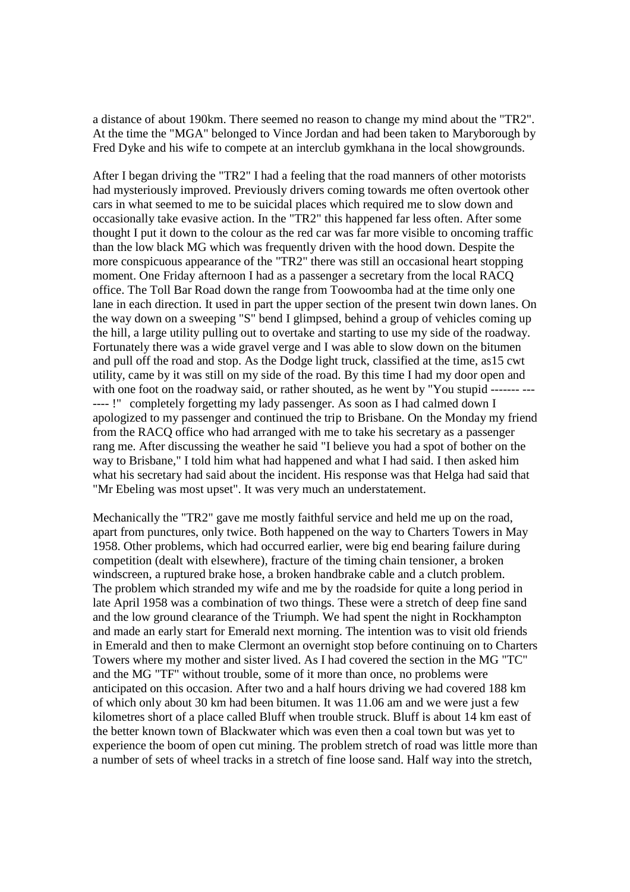a distance of about 190km. There seemed no reason to change my mind about the "TR2". At the time the "MGA" belonged to Vince Jordan and had been taken to Maryborough by Fred Dyke and his wife to compete at an interclub gymkhana in the local showgrounds.

After I began driving the "TR2" I had a feeling that the road manners of other motorists had mysteriously improved. Previously drivers coming towards me often overtook other cars in what seemed to me to be suicidal places which required me to slow down and occasionally take evasive action. In the "TR2" this happened far less often. After some thought I put it down to the colour as the red car was far more visible to oncoming traffic than the low black MG which was frequently driven with the hood down. Despite the more conspicuous appearance of the "TR2" there was still an occasional heart stopping moment. One Friday afternoon I had as a passenger a secretary from the local RACQ office. The Toll Bar Road down the range from Toowoomba had at the time only one lane in each direction. It used in part the upper section of the present twin down lanes. On the way down on a sweeping "S" bend I glimpsed, behind a group of vehicles coming up the hill, a large utility pulling out to overtake and starting to use my side of the roadway. Fortunately there was a wide gravel verge and I was able to slow down on the bitumen and pull off the road and stop. As the Dodge light truck, classified at the time, as15 cwt utility, came by it was still on my side of the road. By this time I had my door open and with one foot on the roadway said, or rather shouted, as he went by "You stupid ----------- !" completely forgetting my lady passenger. As soon as I had calmed down I apologized to my passenger and continued the trip to Brisbane. On the Monday my friend from the RACQ office who had arranged with me to take his secretary as a passenger rang me. After discussing the weather he said "I believe you had a spot of bother on the way to Brisbane," I told him what had happened and what I had said. I then asked him what his secretary had said about the incident. His response was that Helga had said that "Mr Ebeling was most upset". It was very much an understatement.

Mechanically the "TR2" gave me mostly faithful service and held me up on the road, apart from punctures, only twice. Both happened on the way to Charters Towers in May 1958. Other problems, which had occurred earlier, were big end bearing failure during competition (dealt with elsewhere), fracture of the timing chain tensioner, a broken windscreen, a ruptured brake hose, a broken handbrake cable and a clutch problem. The problem which stranded my wife and me by the roadside for quite a long period in late April 1958 was a combination of two things. These were a stretch of deep fine sand and the low ground clearance of the Triumph. We had spent the night in Rockhampton and made an early start for Emerald next morning. The intention was to visit old friends in Emerald and then to make Clermont an overnight stop before continuing on to Charters Towers where my mother and sister lived. As I had covered the section in the MG "TC" and the MG "TF" without trouble, some of it more than once, no problems were anticipated on this occasion. After two and a half hours driving we had covered 188 km of which only about 30 km had been bitumen. It was 11.06 am and we were just a few kilometres short of a place called Bluff when trouble struck. Bluff is about 14 km east of the better known town of Blackwater which was even then a coal town but was yet to experience the boom of open cut mining. The problem stretch of road was little more than a number of sets of wheel tracks in a stretch of fine loose sand. Half way into the stretch,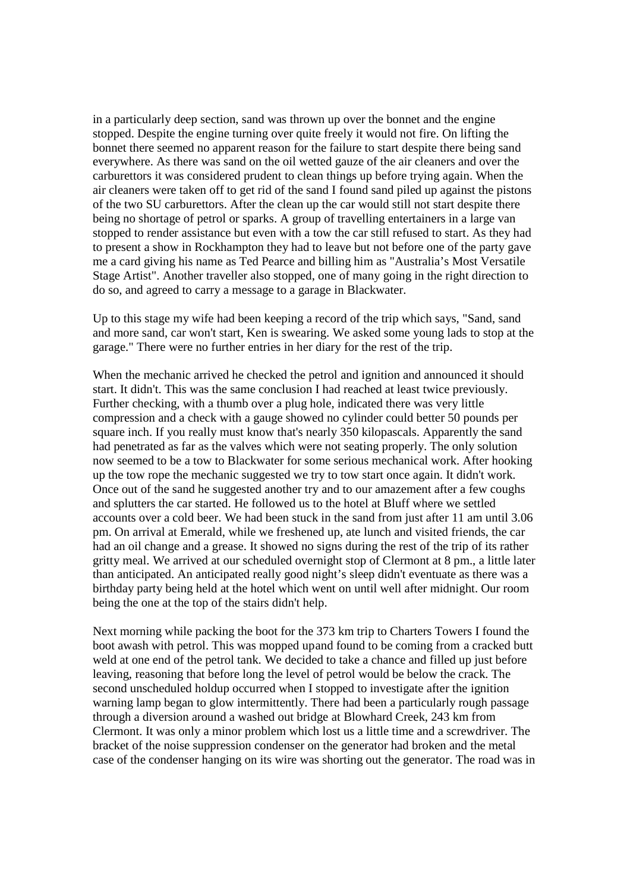in a particularly deep section, sand was thrown up over the bonnet and the engine stopped. Despite the engine turning over quite freely it would not fire. On lifting the bonnet there seemed no apparent reason for the failure to start despite there being sand everywhere. As there was sand on the oil wetted gauze of the air cleaners and over the carburettors it was considered prudent to clean things up before trying again. When the air cleaners were taken off to get rid of the sand I found sand piled up against the pistons of the two SU carburettors. After the clean up the car would still not start despite there being no shortage of petrol or sparks. A group of travelling entertainers in a large van stopped to render assistance but even with a tow the car still refused to start. As they had to present a show in Rockhampton they had to leave but not before one of the party gave me a card giving his name as Ted Pearce and billing him as "Australia's Most Versatile Stage Artist". Another traveller also stopped, one of many going in the right direction to do so, and agreed to carry a message to a garage in Blackwater.

Up to this stage my wife had been keeping a record of the trip which says, "Sand, sand and more sand, car won't start, Ken is swearing. We asked some young lads to stop at the garage." There were no further entries in her diary for the rest of the trip.

When the mechanic arrived he checked the petrol and ignition and announced it should start. It didn't. This was the same conclusion I had reached at least twice previously. Further checking, with a thumb over a plug hole, indicated there was very little compression and a check with a gauge showed no cylinder could better 50 pounds per square inch. If you really must know that's nearly 350 kilopascals. Apparently the sand had penetrated as far as the valves which were not seating properly. The only solution now seemed to be a tow to Blackwater for some serious mechanical work. After hooking up the tow rope the mechanic suggested we try to tow start once again. It didn't work. Once out of the sand he suggested another try and to our amazement after a few coughs and splutters the car started. He followed us to the hotel at Bluff where we settled accounts over a cold beer. We had been stuck in the sand from just after 11 am until 3.06 pm. On arrival at Emerald, while we freshened up, ate lunch and visited friends, the car had an oil change and a grease. It showed no signs during the rest of the trip of its rather gritty meal. We arrived at our scheduled overnight stop of Clermont at 8 pm., a little later than anticipated. An anticipated really good night's sleep didn't eventuate as there was a birthday party being held at the hotel which went on until well after midnight. Our room being the one at the top of the stairs didn't help.

Next morning while packing the boot for the 373 km trip to Charters Towers I found the boot awash with petrol. This was mopped upand found to be coming from a cracked butt weld at one end of the petrol tank. We decided to take a chance and filled up just before leaving, reasoning that before long the level of petrol would be below the crack. The second unscheduled holdup occurred when I stopped to investigate after the ignition warning lamp began to glow intermittently. There had been a particularly rough passage through a diversion around a washed out bridge at Blowhard Creek, 243 km from Clermont. It was only a minor problem which lost us a little time and a screwdriver. The bracket of the noise suppression condenser on the generator had broken and the metal case of the condenser hanging on its wire was shorting out the generator. The road was in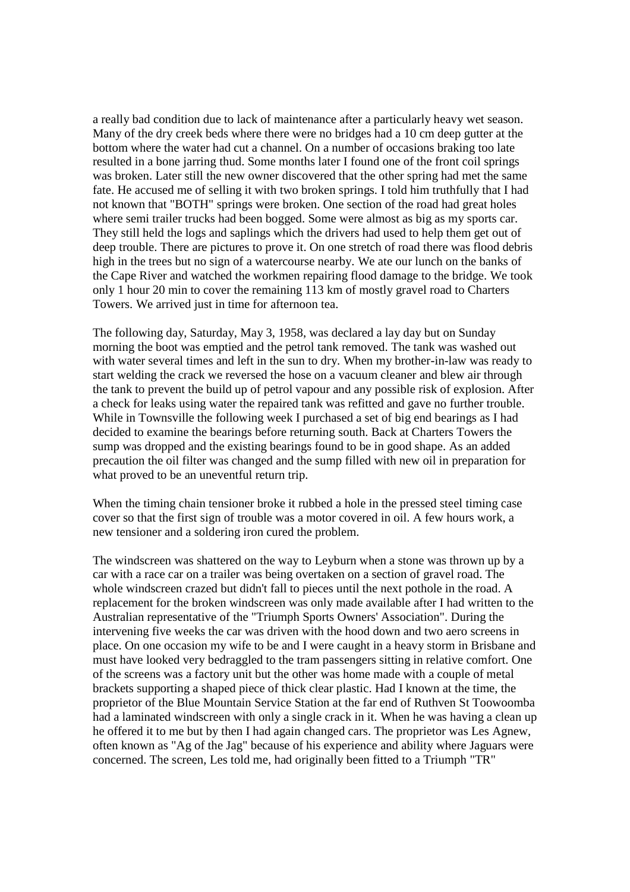a really bad condition due to lack of maintenance after a particularly heavy wet season. Many of the dry creek beds where there were no bridges had a 10 cm deep gutter at the bottom where the water had cut a channel. On a number of occasions braking too late resulted in a bone jarring thud. Some months later I found one of the front coil springs was broken. Later still the new owner discovered that the other spring had met the same fate. He accused me of selling it with two broken springs. I told him truthfully that I had not known that "BOTH" springs were broken. One section of the road had great holes where semi trailer trucks had been bogged. Some were almost as big as my sports car. They still held the logs and saplings which the drivers had used to help them get out of deep trouble. There are pictures to prove it. On one stretch of road there was flood debris high in the trees but no sign of a watercourse nearby. We ate our lunch on the banks of the Cape River and watched the workmen repairing flood damage to the bridge. We took only 1 hour 20 min to cover the remaining 113 km of mostly gravel road to Charters Towers. We arrived just in time for afternoon tea.

The following day, Saturday, May 3, 1958, was declared a lay day but on Sunday morning the boot was emptied and the petrol tank removed. The tank was washed out with water several times and left in the sun to dry. When my brother-in-law was ready to start welding the crack we reversed the hose on a vacuum cleaner and blew air through the tank to prevent the build up of petrol vapour and any possible risk of explosion. After a check for leaks using water the repaired tank was refitted and gave no further trouble. While in Townsville the following week I purchased a set of big end bearings as I had decided to examine the bearings before returning south. Back at Charters Towers the sump was dropped and the existing bearings found to be in good shape. As an added precaution the oil filter was changed and the sump filled with new oil in preparation for what proved to be an uneventful return trip.

When the timing chain tensioner broke it rubbed a hole in the pressed steel timing case cover so that the first sign of trouble was a motor covered in oil. A few hours work, a new tensioner and a soldering iron cured the problem.

The windscreen was shattered on the way to Leyburn when a stone was thrown up by a car with a race car on a trailer was being overtaken on a section of gravel road. The whole windscreen crazed but didn't fall to pieces until the next pothole in the road. A replacement for the broken windscreen was only made available after I had written to the Australian representative of the "Triumph Sports Owners' Association". During the intervening five weeks the car was driven with the hood down and two aero screens in place. On one occasion my wife to be and I were caught in a heavy storm in Brisbane and must have looked very bedraggled to the tram passengers sitting in relative comfort. One of the screens was a factory unit but the other was home made with a couple of metal brackets supporting a shaped piece of thick clear plastic. Had I known at the time, the proprietor of the Blue Mountain Service Station at the far end of Ruthven St Toowoomba had a laminated windscreen with only a single crack in it. When he was having a clean up he offered it to me but by then I had again changed cars. The proprietor was Les Agnew, often known as "Ag of the Jag" because of his experience and ability where Jaguars were concerned. The screen, Les told me, had originally been fitted to a Triumph "TR"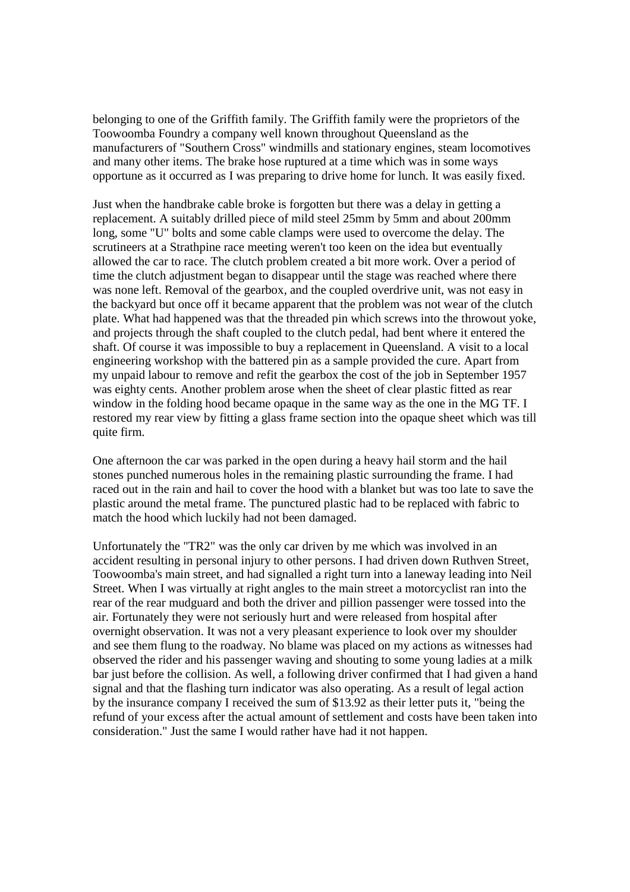belonging to one of the Griffith family. The Griffith family were the proprietors of the Toowoomba Foundry a company well known throughout Queensland as the manufacturers of "Southern Cross" windmills and stationary engines, steam locomotives and many other items. The brake hose ruptured at a time which was in some ways opportune as it occurred as I was preparing to drive home for lunch. It was easily fixed.

Just when the handbrake cable broke is forgotten but there was a delay in getting a replacement. A suitably drilled piece of mild steel 25mm by 5mm and about 200mm long, some "U" bolts and some cable clamps were used to overcome the delay. The scrutineers at a Strathpine race meeting weren't too keen on the idea but eventually allowed the car to race. The clutch problem created a bit more work. Over a period of time the clutch adjustment began to disappear until the stage was reached where there was none left. Removal of the gearbox, and the coupled overdrive unit, was not easy in the backyard but once off it became apparent that the problem was not wear of the clutch plate. What had happened was that the threaded pin which screws into the throwout yoke, and projects through the shaft coupled to the clutch pedal, had bent where it entered the shaft. Of course it was impossible to buy a replacement in Queensland. A visit to a local engineering workshop with the battered pin as a sample provided the cure. Apart from my unpaid labour to remove and refit the gearbox the cost of the job in September 1957 was eighty cents. Another problem arose when the sheet of clear plastic fitted as rear window in the folding hood became opaque in the same way as the one in the MG TF. I restored my rear view by fitting a glass frame section into the opaque sheet which was till quite firm.

One afternoon the car was parked in the open during a heavy hail storm and the hail stones punched numerous holes in the remaining plastic surrounding the frame. I had raced out in the rain and hail to cover the hood with a blanket but was too late to save the plastic around the metal frame. The punctured plastic had to be replaced with fabric to match the hood which luckily had not been damaged.

Unfortunately the "TR2" was the only car driven by me which was involved in an accident resulting in personal injury to other persons. I had driven down Ruthven Street, Toowoomba's main street, and had signalled a right turn into a laneway leading into Neil Street. When I was virtually at right angles to the main street a motorcyclist ran into the rear of the rear mudguard and both the driver and pillion passenger were tossed into the air. Fortunately they were not seriously hurt and were released from hospital after overnight observation. It was not a very pleasant experience to look over my shoulder and see them flung to the roadway. No blame was placed on my actions as witnesses had observed the rider and his passenger waving and shouting to some young ladies at a milk bar just before the collision. As well, a following driver confirmed that I had given a hand signal and that the flashing turn indicator was also operating. As a result of legal action by the insurance company I received the sum of \$13.92 as their letter puts it, "being the refund of your excess after the actual amount of settlement and costs have been taken into consideration." Just the same I would rather have had it not happen.